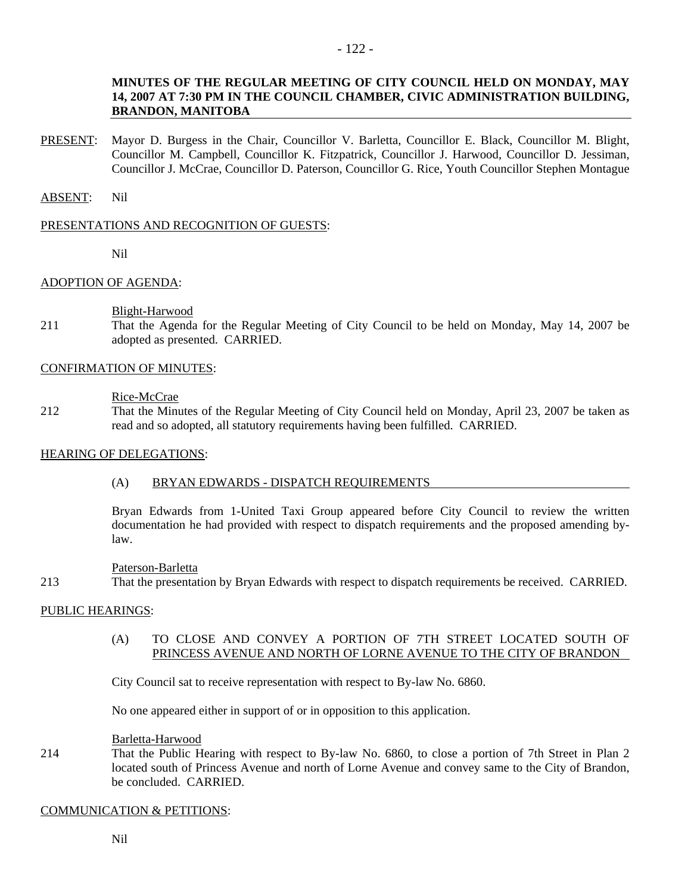## **MINUTES OF THE REGULAR MEETING OF CITY COUNCIL HELD ON MONDAY, MAY 14, 2007 AT 7:30 PM IN THE COUNCIL CHAMBER, CIVIC ADMINISTRATION BUILDING, BRANDON, MANITOBA**

PRESENT: Mayor D. Burgess in the Chair, Councillor V. Barletta, Councillor E. Black, Councillor M. Blight, Councillor M. Campbell, Councillor K. Fitzpatrick, Councillor J. Harwood, Councillor D. Jessiman, Councillor J. McCrae, Councillor D. Paterson, Councillor G. Rice, Youth Councillor Stephen Montague

## ABSENT: Nil

## PRESENTATIONS AND RECOGNITION OF GUESTS:

Nil

## ADOPTION OF AGENDA:

## Blight-Harwood

211 That the Agenda for the Regular Meeting of City Council to be held on Monday, May 14, 2007 be adopted as presented. CARRIED.

## CONFIRMATION OF MINUTES:

## Rice-McCrae

212 That the Minutes of the Regular Meeting of City Council held on Monday, April 23, 2007 be taken as read and so adopted, all statutory requirements having been fulfilled. CARRIED.

## HEARING OF DELEGATIONS:

## (A) BRYAN EDWARDS - DISPATCH REQUIREMENTS

Bryan Edwards from 1-United Taxi Group appeared before City Council to review the written documentation he had provided with respect to dispatch requirements and the proposed amending bylaw.

### Paterson-Barletta

213 That the presentation by Bryan Edwards with respect to dispatch requirements be received. CARRIED.

## PUBLIC HEARINGS:

(A) TO CLOSE AND CONVEY A PORTION OF 7TH STREET LOCATED SOUTH OF PRINCESS AVENUE AND NORTH OF LORNE AVENUE TO THE CITY OF BRANDON

City Council sat to receive representation with respect to By-law No. 6860.

No one appeared either in support of or in opposition to this application.

## Barletta-Harwood

214 That the Public Hearing with respect to By-law No. 6860, to close a portion of 7th Street in Plan 2 located south of Princess Avenue and north of Lorne Avenue and convey same to the City of Brandon, be concluded. CARRIED.

### COMMUNICATION & PETITIONS: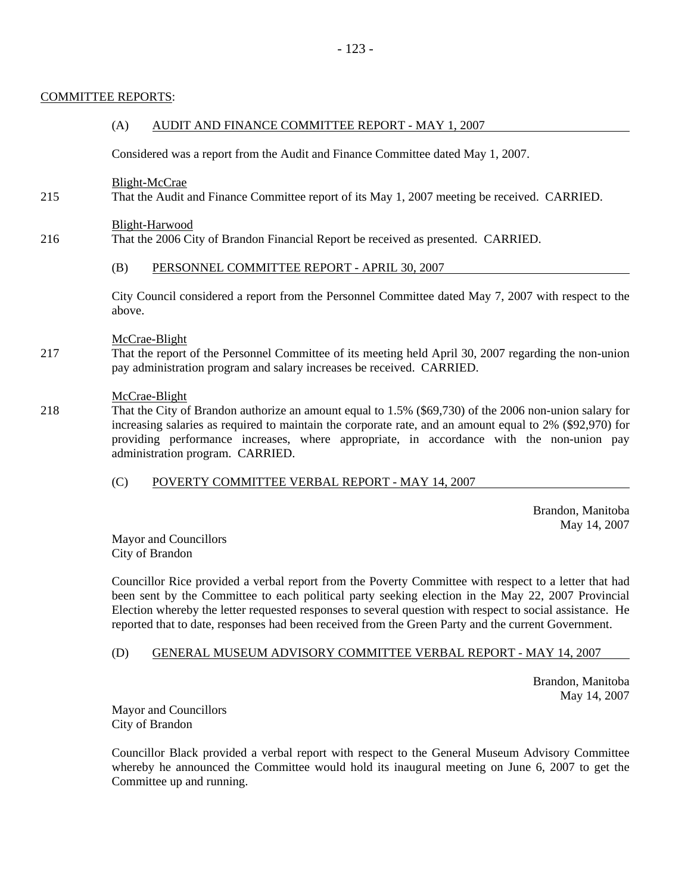# COMMITTEE REPORTS:

## (A) AUDIT AND FINANCE COMMITTEE REPORT - MAY 1, 2007

Considered was a report from the Audit and Finance Committee dated May 1, 2007.

## Blight-McCrae

215 That the Audit and Finance Committee report of its May 1, 2007 meeting be received. CARRIED.

## Blight-Harwood

216 That the 2006 City of Brandon Financial Report be received as presented. CARRIED.

## (B) PERSONNEL COMMITTEE REPORT - APRIL 30, 2007

City Council considered a report from the Personnel Committee dated May 7, 2007 with respect to the above.

## McCrae-Blight

217 That the report of the Personnel Committee of its meeting held April 30, 2007 regarding the non-union pay administration program and salary increases be received. CARRIED.

## McCrae-Blight

218 That the City of Brandon authorize an amount equal to 1.5% (\$69,730) of the 2006 non-union salary for increasing salaries as required to maintain the corporate rate, and an amount equal to 2% (\$92,970) for providing performance increases, where appropriate, in accordance with the non-union pay administration program. CARRIED.

## (C) POVERTY COMMITTEE VERBAL REPORT - MAY 14, 2007

 Brandon, Manitoba May 14, 2007

Mayor and Councillors City of Brandon

Councillor Rice provided a verbal report from the Poverty Committee with respect to a letter that had been sent by the Committee to each political party seeking election in the May 22, 2007 Provincial Election whereby the letter requested responses to several question with respect to social assistance. He reported that to date, responses had been received from the Green Party and the current Government.

## (D) GENERAL MUSEUM ADVISORY COMMITTEE VERBAL REPORT - MAY 14, 2007

 Brandon, Manitoba May 14, 2007

Mayor and Councillors City of Brandon

Councillor Black provided a verbal report with respect to the General Museum Advisory Committee whereby he announced the Committee would hold its inaugural meeting on June 6, 2007 to get the Committee up and running.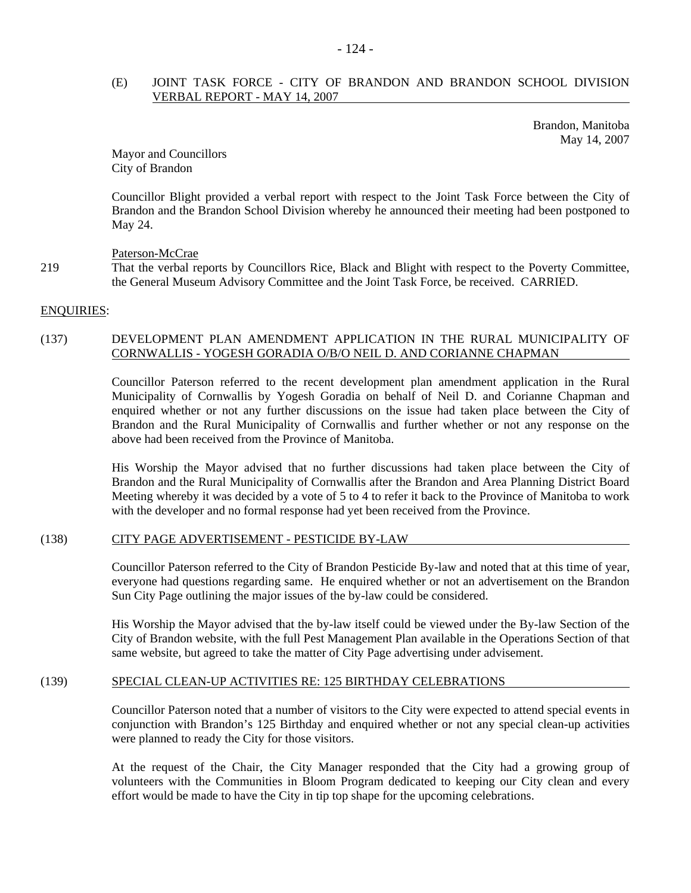## (E) JOINT TASK FORCE - CITY OF BRANDON AND BRANDON SCHOOL DIVISION VERBAL REPORT - MAY 14, 2007

 Brandon, Manitoba May 14, 2007

Mayor and Councillors City of Brandon

Councillor Blight provided a verbal report with respect to the Joint Task Force between the City of Brandon and the Brandon School Division whereby he announced their meeting had been postponed to May 24.

Paterson-McCrae

219 That the verbal reports by Councillors Rice, Black and Blight with respect to the Poverty Committee, the General Museum Advisory Committee and the Joint Task Force, be received. CARRIED.

#### ENQUIRIES:

## (137) DEVELOPMENT PLAN AMENDMENT APPLICATION IN THE RURAL MUNICIPALITY OF CORNWALLIS - YOGESH GORADIA O/B/O NEIL D. AND CORIANNE CHAPMAN

Councillor Paterson referred to the recent development plan amendment application in the Rural Municipality of Cornwallis by Yogesh Goradia on behalf of Neil D. and Corianne Chapman and enquired whether or not any further discussions on the issue had taken place between the City of Brandon and the Rural Municipality of Cornwallis and further whether or not any response on the above had been received from the Province of Manitoba.

His Worship the Mayor advised that no further discussions had taken place between the City of Brandon and the Rural Municipality of Cornwallis after the Brandon and Area Planning District Board Meeting whereby it was decided by a vote of 5 to 4 to refer it back to the Province of Manitoba to work with the developer and no formal response had yet been received from the Province.

### (138) CITY PAGE ADVERTISEMENT - PESTICIDE BY-LAW

Councillor Paterson referred to the City of Brandon Pesticide By-law and noted that at this time of year, everyone had questions regarding same. He enquired whether or not an advertisement on the Brandon Sun City Page outlining the major issues of the by-law could be considered.

His Worship the Mayor advised that the by-law itself could be viewed under the By-law Section of the City of Brandon website, with the full Pest Management Plan available in the Operations Section of that same website, but agreed to take the matter of City Page advertising under advisement.

## (139) SPECIAL CLEAN-UP ACTIVITIES RE: 125 BIRTHDAY CELEBRATIONS

Councillor Paterson noted that a number of visitors to the City were expected to attend special events in conjunction with Brandon's 125 Birthday and enquired whether or not any special clean-up activities were planned to ready the City for those visitors.

At the request of the Chair, the City Manager responded that the City had a growing group of volunteers with the Communities in Bloom Program dedicated to keeping our City clean and every effort would be made to have the City in tip top shape for the upcoming celebrations.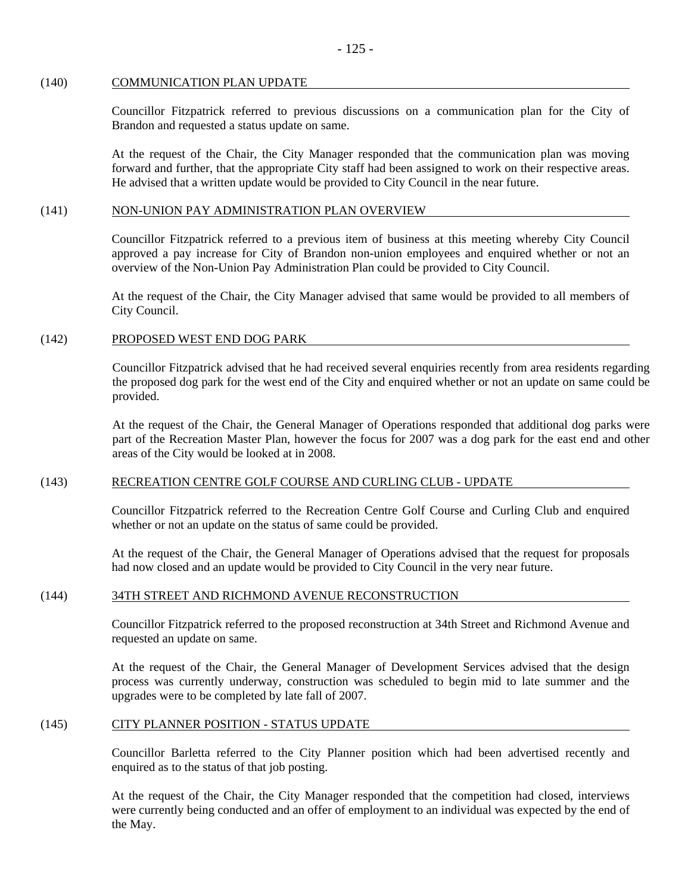# (140) COMMUNICATION PLAN UPDATE

Councillor Fitzpatrick referred to previous discussions on a communication plan for the City of Brandon and requested a status update on same.

At the request of the Chair, the City Manager responded that the communication plan was moving forward and further, that the appropriate City staff had been assigned to work on their respective areas. He advised that a written update would be provided to City Council in the near future.

# (141) NON-UNION PAY ADMINISTRATION PLAN OVERVIEW

Councillor Fitzpatrick referred to a previous item of business at this meeting whereby City Council approved a pay increase for City of Brandon non-union employees and enquired whether or not an overview of the Non-Union Pay Administration Plan could be provided to City Council.

At the request of the Chair, the City Manager advised that same would be provided to all members of City Council.

# (142) PROPOSED WEST END DOG PARK

Councillor Fitzpatrick advised that he had received several enquiries recently from area residents regarding the proposed dog park for the west end of the City and enquired whether or not an update on same could be provided.

At the request of the Chair, the General Manager of Operations responded that additional dog parks were part of the Recreation Master Plan, however the focus for 2007 was a dog park for the east end and other areas of the City would be looked at in 2008.

# (143) RECREATION CENTRE GOLF COURSE AND CURLING CLUB - UPDATE

Councillor Fitzpatrick referred to the Recreation Centre Golf Course and Curling Club and enquired whether or not an update on the status of same could be provided.

At the request of the Chair, the General Manager of Operations advised that the request for proposals had now closed and an update would be provided to City Council in the very near future.

# (144) 34TH STREET AND RICHMOND AVENUE RECONSTRUCTION

Councillor Fitzpatrick referred to the proposed reconstruction at 34th Street and Richmond Avenue and requested an update on same.

At the request of the Chair, the General Manager of Development Services advised that the design process was currently underway, construction was scheduled to begin mid to late summer and the upgrades were to be completed by late fall of 2007.

# (145) CITY PLANNER POSITION - STATUS UPDATE

Councillor Barletta referred to the City Planner position which had been advertised recently and enquired as to the status of that job posting.

At the request of the Chair, the City Manager responded that the competition had closed, interviews were currently being conducted and an offer of employment to an individual was expected by the end of the May.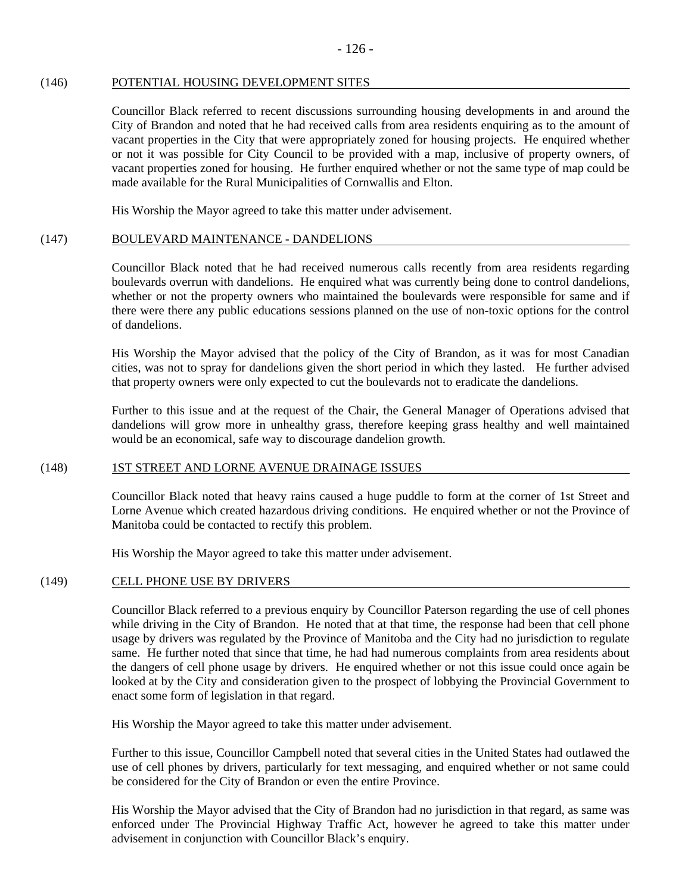## (146) POTENTIAL HOUSING DEVELOPMENT SITES

Councillor Black referred to recent discussions surrounding housing developments in and around the City of Brandon and noted that he had received calls from area residents enquiring as to the amount of vacant properties in the City that were appropriately zoned for housing projects. He enquired whether or not it was possible for City Council to be provided with a map, inclusive of property owners, of vacant properties zoned for housing. He further enquired whether or not the same type of map could be made available for the Rural Municipalities of Cornwallis and Elton.

His Worship the Mayor agreed to take this matter under advisement.

## (147) BOULEVARD MAINTENANCE - DANDELIONS

Councillor Black noted that he had received numerous calls recently from area residents regarding boulevards overrun with dandelions. He enquired what was currently being done to control dandelions, whether or not the property owners who maintained the boulevards were responsible for same and if there were there any public educations sessions planned on the use of non-toxic options for the control of dandelions.

His Worship the Mayor advised that the policy of the City of Brandon, as it was for most Canadian cities, was not to spray for dandelions given the short period in which they lasted. He further advised that property owners were only expected to cut the boulevards not to eradicate the dandelions.

Further to this issue and at the request of the Chair, the General Manager of Operations advised that dandelions will grow more in unhealthy grass, therefore keeping grass healthy and well maintained would be an economical, safe way to discourage dandelion growth.

### (148) 1ST STREET AND LORNE AVENUE DRAINAGE ISSUES

Councillor Black noted that heavy rains caused a huge puddle to form at the corner of 1st Street and Lorne Avenue which created hazardous driving conditions. He enquired whether or not the Province of Manitoba could be contacted to rectify this problem.

His Worship the Mayor agreed to take this matter under advisement.

### (149) CELL PHONE USE BY DRIVERS

Councillor Black referred to a previous enquiry by Councillor Paterson regarding the use of cell phones while driving in the City of Brandon. He noted that at that time, the response had been that cell phone usage by drivers was regulated by the Province of Manitoba and the City had no jurisdiction to regulate same. He further noted that since that time, he had had numerous complaints from area residents about the dangers of cell phone usage by drivers. He enquired whether or not this issue could once again be looked at by the City and consideration given to the prospect of lobbying the Provincial Government to enact some form of legislation in that regard.

His Worship the Mayor agreed to take this matter under advisement.

Further to this issue, Councillor Campbell noted that several cities in the United States had outlawed the use of cell phones by drivers, particularly for text messaging, and enquired whether or not same could be considered for the City of Brandon or even the entire Province.

His Worship the Mayor advised that the City of Brandon had no jurisdiction in that regard, as same was enforced under The Provincial Highway Traffic Act, however he agreed to take this matter under advisement in conjunction with Councillor Black's enquiry.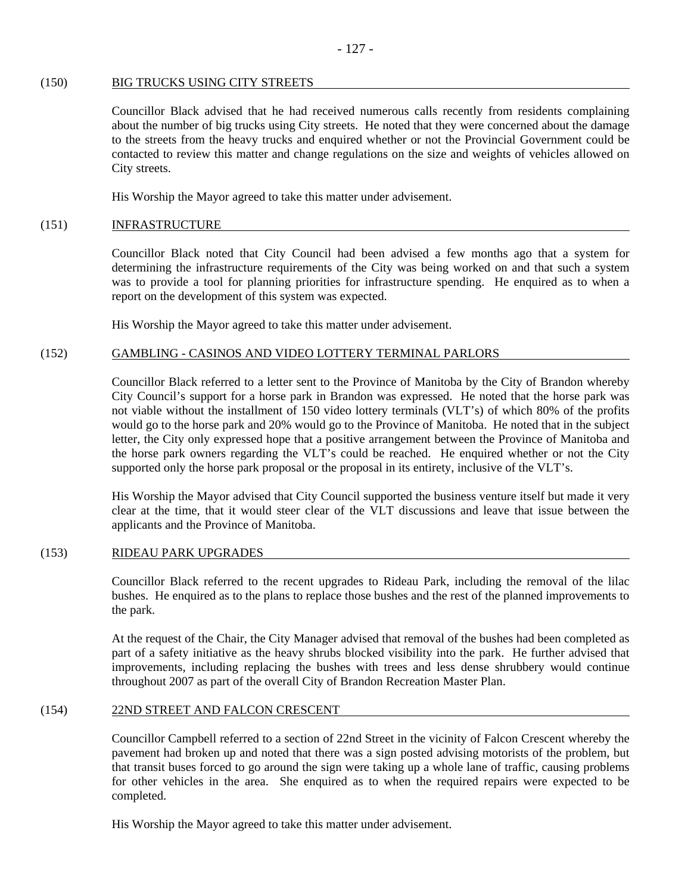#### (150) BIG TRUCKS USING CITY STREETS

Councillor Black advised that he had received numerous calls recently from residents complaining about the number of big trucks using City streets. He noted that they were concerned about the damage to the streets from the heavy trucks and enquired whether or not the Provincial Government could be contacted to review this matter and change regulations on the size and weights of vehicles allowed on City streets.

His Worship the Mayor agreed to take this matter under advisement.

### (151) INFRASTRUCTURE

Councillor Black noted that City Council had been advised a few months ago that a system for determining the infrastructure requirements of the City was being worked on and that such a system was to provide a tool for planning priorities for infrastructure spending. He enquired as to when a report on the development of this system was expected.

His Worship the Mayor agreed to take this matter under advisement.

## (152) GAMBLING - CASINOS AND VIDEO LOTTERY TERMINAL PARLORS

Councillor Black referred to a letter sent to the Province of Manitoba by the City of Brandon whereby City Council's support for a horse park in Brandon was expressed. He noted that the horse park was not viable without the installment of 150 video lottery terminals (VLT's) of which 80% of the profits would go to the horse park and 20% would go to the Province of Manitoba. He noted that in the subject letter, the City only expressed hope that a positive arrangement between the Province of Manitoba and the horse park owners regarding the VLT's could be reached. He enquired whether or not the City supported only the horse park proposal or the proposal in its entirety, inclusive of the VLT's.

His Worship the Mayor advised that City Council supported the business venture itself but made it very clear at the time, that it would steer clear of the VLT discussions and leave that issue between the applicants and the Province of Manitoba.

### (153) RIDEAU PARK UPGRADES

Councillor Black referred to the recent upgrades to Rideau Park, including the removal of the lilac bushes. He enquired as to the plans to replace those bushes and the rest of the planned improvements to the park.

At the request of the Chair, the City Manager advised that removal of the bushes had been completed as part of a safety initiative as the heavy shrubs blocked visibility into the park. He further advised that improvements, including replacing the bushes with trees and less dense shrubbery would continue throughout 2007 as part of the overall City of Brandon Recreation Master Plan.

### (154) 22ND STREET AND FALCON CRESCENT

Councillor Campbell referred to a section of 22nd Street in the vicinity of Falcon Crescent whereby the pavement had broken up and noted that there was a sign posted advising motorists of the problem, but that transit buses forced to go around the sign were taking up a whole lane of traffic, causing problems for other vehicles in the area. She enquired as to when the required repairs were expected to be completed.

His Worship the Mayor agreed to take this matter under advisement.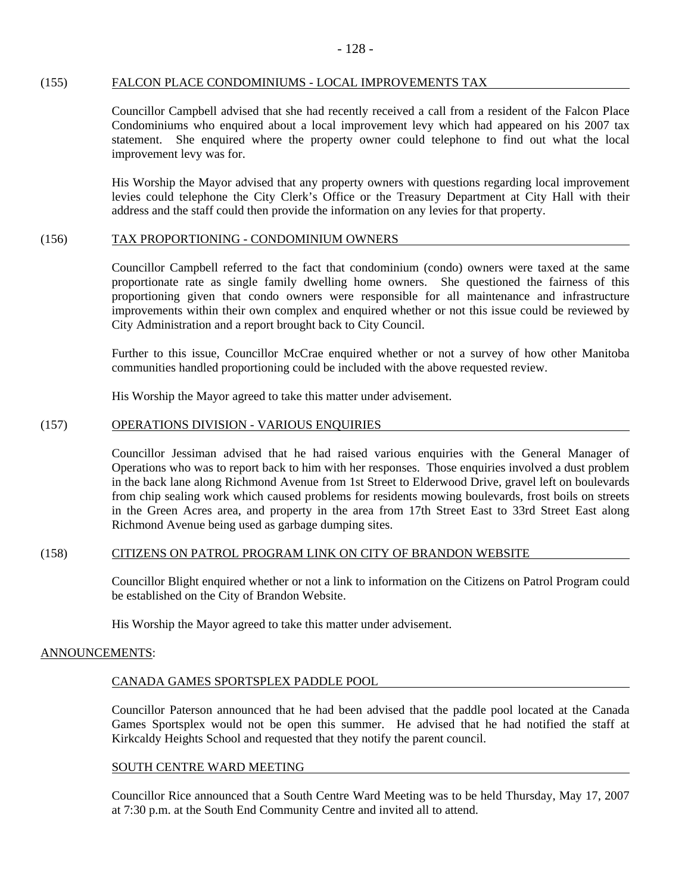## (155) FALCON PLACE CONDOMINIUMS - LOCAL IMPROVEMENTS TAX

Councillor Campbell advised that she had recently received a call from a resident of the Falcon Place Condominiums who enquired about a local improvement levy which had appeared on his 2007 tax statement. She enquired where the property owner could telephone to find out what the local improvement levy was for.

His Worship the Mayor advised that any property owners with questions regarding local improvement levies could telephone the City Clerk's Office or the Treasury Department at City Hall with their address and the staff could then provide the information on any levies for that property.

### (156) TAX PROPORTIONING - CONDOMINIUM OWNERS

Councillor Campbell referred to the fact that condominium (condo) owners were taxed at the same proportionate rate as single family dwelling home owners. She questioned the fairness of this proportioning given that condo owners were responsible for all maintenance and infrastructure improvements within their own complex and enquired whether or not this issue could be reviewed by City Administration and a report brought back to City Council.

Further to this issue, Councillor McCrae enquired whether or not a survey of how other Manitoba communities handled proportioning could be included with the above requested review.

His Worship the Mayor agreed to take this matter under advisement.

## (157) OPERATIONS DIVISION - VARIOUS ENQUIRIES

Councillor Jessiman advised that he had raised various enquiries with the General Manager of Operations who was to report back to him with her responses. Those enquiries involved a dust problem in the back lane along Richmond Avenue from 1st Street to Elderwood Drive, gravel left on boulevards from chip sealing work which caused problems for residents mowing boulevards, frost boils on streets in the Green Acres area, and property in the area from 17th Street East to 33rd Street East along Richmond Avenue being used as garbage dumping sites.

### (158) CITIZENS ON PATROL PROGRAM LINK ON CITY OF BRANDON WEBSITE

Councillor Blight enquired whether or not a link to information on the Citizens on Patrol Program could be established on the City of Brandon Website.

His Worship the Mayor agreed to take this matter under advisement.

### ANNOUNCEMENTS:

## CANADA GAMES SPORTSPLEX PADDLE POOL

Councillor Paterson announced that he had been advised that the paddle pool located at the Canada Games Sportsplex would not be open this summer. He advised that he had notified the staff at Kirkcaldy Heights School and requested that they notify the parent council.

### SOUTH CENTRE WARD MEETING

Councillor Rice announced that a South Centre Ward Meeting was to be held Thursday, May 17, 2007 at 7:30 p.m. at the South End Community Centre and invited all to attend.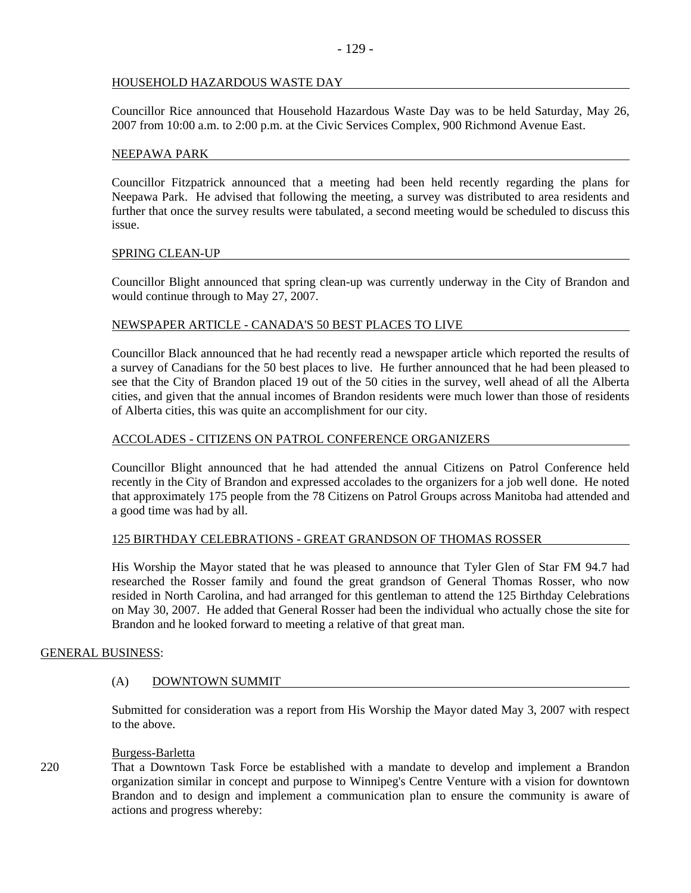## HOUSEHOLD HAZARDOUS WASTE DAY

Councillor Rice announced that Household Hazardous Waste Day was to be held Saturday, May 26, 2007 from 10:00 a.m. to 2:00 p.m. at the Civic Services Complex, 900 Richmond Avenue East.

### NEEPAWA PARK

Councillor Fitzpatrick announced that a meeting had been held recently regarding the plans for Neepawa Park. He advised that following the meeting, a survey was distributed to area residents and further that once the survey results were tabulated, a second meeting would be scheduled to discuss this issue.

### SPRING CLEAN-UP

Councillor Blight announced that spring clean-up was currently underway in the City of Brandon and would continue through to May 27, 2007.

## NEWSPAPER ARTICLE - CANADA'S 50 BEST PLACES TO LIVE

Councillor Black announced that he had recently read a newspaper article which reported the results of a survey of Canadians for the 50 best places to live. He further announced that he had been pleased to see that the City of Brandon placed 19 out of the 50 cities in the survey, well ahead of all the Alberta cities, and given that the annual incomes of Brandon residents were much lower than those of residents of Alberta cities, this was quite an accomplishment for our city.

## ACCOLADES - CITIZENS ON PATROL CONFERENCE ORGANIZERS

Councillor Blight announced that he had attended the annual Citizens on Patrol Conference held recently in the City of Brandon and expressed accolades to the organizers for a job well done. He noted that approximately 175 people from the 78 Citizens on Patrol Groups across Manitoba had attended and a good time was had by all.

## 125 BIRTHDAY CELEBRATIONS - GREAT GRANDSON OF THOMAS ROSSER

His Worship the Mayor stated that he was pleased to announce that Tyler Glen of Star FM 94.7 had researched the Rosser family and found the great grandson of General Thomas Rosser, who now resided in North Carolina, and had arranged for this gentleman to attend the 125 Birthday Celebrations on May 30, 2007. He added that General Rosser had been the individual who actually chose the site for Brandon and he looked forward to meeting a relative of that great man.

## GENERAL BUSINESS:

## (A) DOWNTOWN SUMMIT

Submitted for consideration was a report from His Worship the Mayor dated May 3, 2007 with respect to the above.

### Burgess-Barletta

220 That a Downtown Task Force be established with a mandate to develop and implement a Brandon organization similar in concept and purpose to Winnipeg's Centre Venture with a vision for downtown Brandon and to design and implement a communication plan to ensure the community is aware of actions and progress whereby: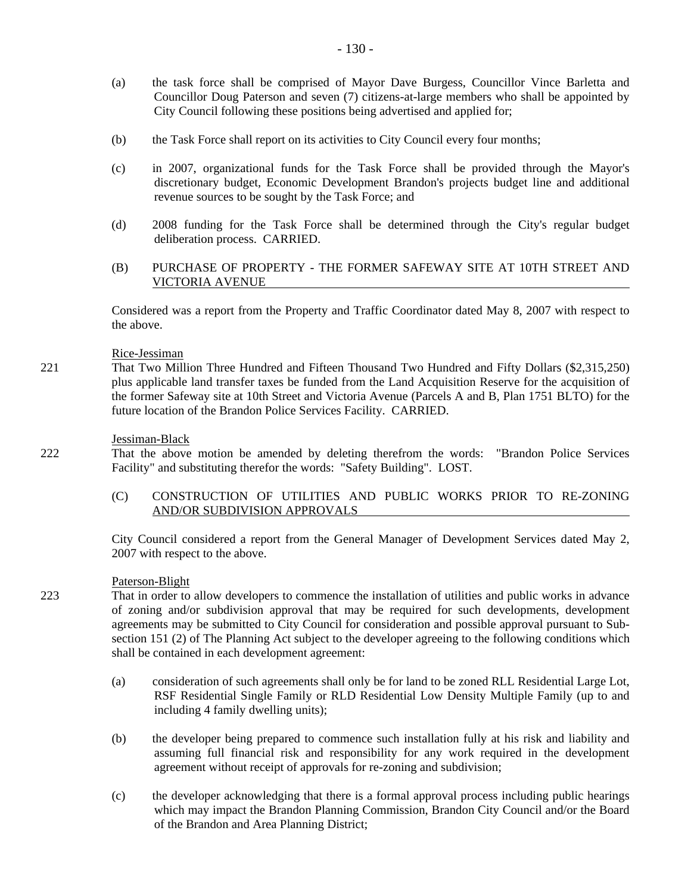- (a) the task force shall be comprised of Mayor Dave Burgess, Councillor Vince Barletta and Councillor Doug Paterson and seven (7) citizens-at-large members who shall be appointed by City Council following these positions being advertised and applied for;
- (b) the Task Force shall report on its activities to City Council every four months;
- (c) in 2007, organizational funds for the Task Force shall be provided through the Mayor's discretionary budget, Economic Development Brandon's projects budget line and additional revenue sources to be sought by the Task Force; and
- (d) 2008 funding for the Task Force shall be determined through the City's regular budget deliberation process. CARRIED.
- (B) PURCHASE OF PROPERTY THE FORMER SAFEWAY SITE AT 10TH STREET AND VICTORIA AVENUE

Considered was a report from the Property and Traffic Coordinator dated May 8, 2007 with respect to the above.

## Rice-Jessiman

221 That Two Million Three Hundred and Fifteen Thousand Two Hundred and Fifty Dollars (\$2,315,250) plus applicable land transfer taxes be funded from the Land Acquisition Reserve for the acquisition of the former Safeway site at 10th Street and Victoria Avenue (Parcels A and B, Plan 1751 BLTO) for the future location of the Brandon Police Services Facility. CARRIED.

### Jessiman-Black

- 222 That the above motion be amended by deleting therefrom the words: "Brandon Police Services Facility" and substituting therefor the words: "Safety Building". LOST.
	- (C) CONSTRUCTION OF UTILITIES AND PUBLIC WORKS PRIOR TO RE-ZONING AND/OR SUBDIVISION APPROVALS

City Council considered a report from the General Manager of Development Services dated May 2, 2007 with respect to the above.

## Paterson-Blight

- 223 That in order to allow developers to commence the installation of utilities and public works in advance of zoning and/or subdivision approval that may be required for such developments, development agreements may be submitted to City Council for consideration and possible approval pursuant to Subsection 151 (2) of The Planning Act subject to the developer agreeing to the following conditions which shall be contained in each development agreement:
	- (a) consideration of such agreements shall only be for land to be zoned RLL Residential Large Lot, RSF Residential Single Family or RLD Residential Low Density Multiple Family (up to and including 4 family dwelling units);
	- (b) the developer being prepared to commence such installation fully at his risk and liability and assuming full financial risk and responsibility for any work required in the development agreement without receipt of approvals for re-zoning and subdivision;
	- (c) the developer acknowledging that there is a formal approval process including public hearings which may impact the Brandon Planning Commission, Brandon City Council and/or the Board of the Brandon and Area Planning District;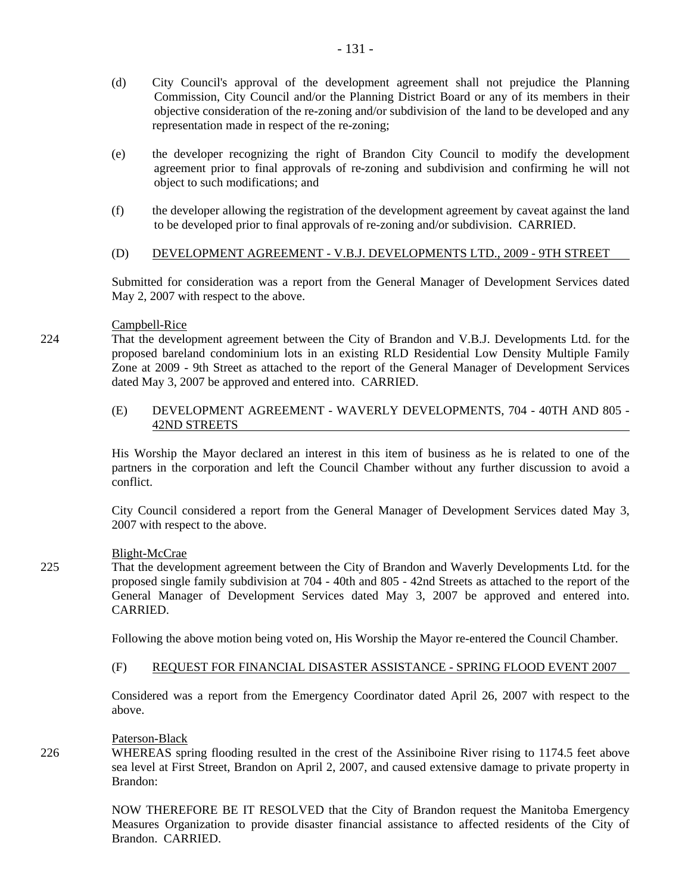- (d) City Council's approval of the development agreement shall not prejudice the Planning Commission, City Council and/or the Planning District Board or any of its members in their objective consideration of the re-zoning and/or subdivision of the land to be developed and any representation made in respect of the re-zoning;
- (e) the developer recognizing the right of Brandon City Council to modify the development agreement prior to final approvals of re-zoning and subdivision and confirming he will not object to such modifications; and
- (f) the developer allowing the registration of the development agreement by caveat against the land to be developed prior to final approvals of re-zoning and/or subdivision. CARRIED.
- (D) DEVELOPMENT AGREEMENT V.B.J. DEVELOPMENTS LTD., 2009 9TH STREET

Submitted for consideration was a report from the General Manager of Development Services dated May 2, 2007 with respect to the above.

## Campbell-Rice

224 That the development agreement between the City of Brandon and V.B.J. Developments Ltd. for the proposed bareland condominium lots in an existing RLD Residential Low Density Multiple Family Zone at 2009 - 9th Street as attached to the report of the General Manager of Development Services dated May 3, 2007 be approved and entered into. CARRIED.

## (E) DEVELOPMENT AGREEMENT - WAVERLY DEVELOPMENTS, 704 - 40TH AND 805 - 42ND STREETS

His Worship the Mayor declared an interest in this item of business as he is related to one of the partners in the corporation and left the Council Chamber without any further discussion to avoid a conflict.

City Council considered a report from the General Manager of Development Services dated May 3, 2007 with respect to the above.

## Blight-McCrae

225 That the development agreement between the City of Brandon and Waverly Developments Ltd. for the proposed single family subdivision at 704 - 40th and 805 - 42nd Streets as attached to the report of the General Manager of Development Services dated May 3, 2007 be approved and entered into. CARRIED.

Following the above motion being voted on, His Worship the Mayor re-entered the Council Chamber.

### (F) REQUEST FOR FINANCIAL DISASTER ASSISTANCE - SPRING FLOOD EVENT 2007

Considered was a report from the Emergency Coordinator dated April 26, 2007 with respect to the above.

### Paterson-Black

226 WHEREAS spring flooding resulted in the crest of the Assiniboine River rising to 1174.5 feet above sea level at First Street, Brandon on April 2, 2007, and caused extensive damage to private property in Brandon:

> NOW THEREFORE BE IT RESOLVED that the City of Brandon request the Manitoba Emergency Measures Organization to provide disaster financial assistance to affected residents of the City of Brandon. CARRIED.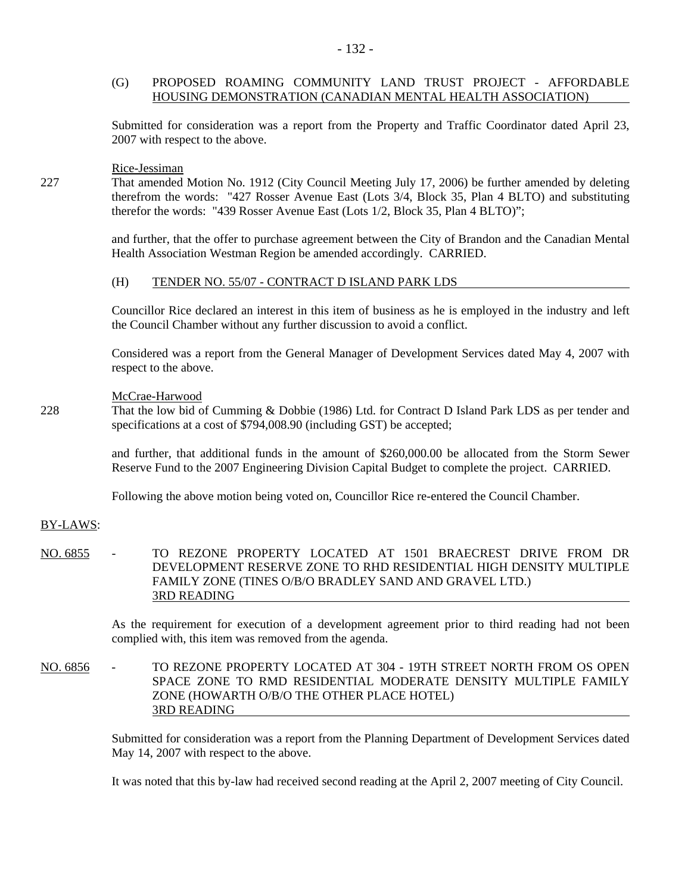## (G) PROPOSED ROAMING COMMUNITY LAND TRUST PROJECT - AFFORDABLE HOUSING DEMONSTRATION (CANADIAN MENTAL HEALTH ASSOCIATION)

Submitted for consideration was a report from the Property and Traffic Coordinator dated April 23, 2007 with respect to the above.

#### Rice-Jessiman

227 That amended Motion No. 1912 (City Council Meeting July 17, 2006) be further amended by deleting therefrom the words: "427 Rosser Avenue East (Lots 3/4, Block 35, Plan 4 BLTO) and substituting therefor the words: "439 Rosser Avenue East (Lots 1/2, Block 35, Plan 4 BLTO)";

> and further, that the offer to purchase agreement between the City of Brandon and the Canadian Mental Health Association Westman Region be amended accordingly. CARRIED.

#### (H) TENDER NO. 55/07 - CONTRACT D ISLAND PARK LDS

Councillor Rice declared an interest in this item of business as he is employed in the industry and left the Council Chamber without any further discussion to avoid a conflict.

Considered was a report from the General Manager of Development Services dated May 4, 2007 with respect to the above.

#### McCrae-Harwood

228 That the low bid of Cumming & Dobbie (1986) Ltd. for Contract D Island Park LDS as per tender and specifications at a cost of \$794,008.90 (including GST) be accepted;

> and further, that additional funds in the amount of \$260,000.00 be allocated from the Storm Sewer Reserve Fund to the 2007 Engineering Division Capital Budget to complete the project. CARRIED.

Following the above motion being voted on, Councillor Rice re-entered the Council Chamber.

### BY-LAWS:

NO. 6855 - TO REZONE PROPERTY LOCATED AT 1501 BRAECREST DRIVE FROM DR DEVELOPMENT RESERVE ZONE TO RHD RESIDENTIAL HIGH DENSITY MULTIPLE FAMILY ZONE (TINES O/B/O BRADLEY SAND AND GRAVEL LTD.) 3RD READING

> As the requirement for execution of a development agreement prior to third reading had not been complied with, this item was removed from the agenda.

NO. 6856 - TO REZONE PROPERTY LOCATED AT 304 - 19TH STREET NORTH FROM OS OPEN SPACE ZONE TO RMD RESIDENTIAL MODERATE DENSITY MULTIPLE FAMILY ZONE (HOWARTH O/B/O THE OTHER PLACE HOTEL) 3RD READING

> Submitted for consideration was a report from the Planning Department of Development Services dated May 14, 2007 with respect to the above.

It was noted that this by-law had received second reading at the April 2, 2007 meeting of City Council.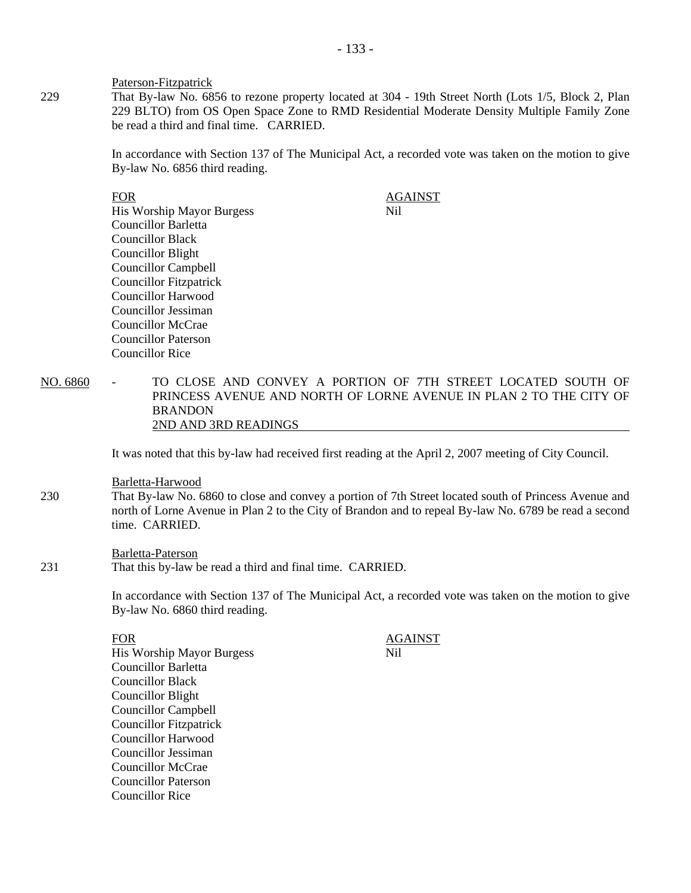Paterson-Fitzpatrick

229 That By-law No. 6856 to rezone property located at 304 - 19th Street North (Lots 1/5, Block 2, Plan 229 BLTO) from OS Open Space Zone to RMD Residential Moderate Density Multiple Family Zone be read a third and final time. CARRIED.

> In accordance with Section 137 of The Municipal Act, a recorded vote was taken on the motion to give By-law No. 6856 third reading.

- EOR<br>His Worship Mavor Burgess Martin March 2014 His Worship Mayor Burgess Councillor Barletta Councillor Black Councillor Blight Councillor Campbell Councillor Fitzpatrick Councillor Harwood Councillor Jessiman Councillor McCrae Councillor Paterson Councillor Rice
- NO. 6860 TO CLOSE AND CONVEY A PORTION OF 7TH STREET LOCATED SOUTH OF PRINCESS AVENUE AND NORTH OF LORNE AVENUE IN PLAN 2 TO THE CITY OF BRANDON 2ND AND 3RD READINGS

It was noted that this by-law had received first reading at the April 2, 2007 meeting of City Council.

#### Barletta-Harwood

230 That By-law No. 6860 to close and convey a portion of 7th Street located south of Princess Avenue and north of Lorne Avenue in Plan 2 to the City of Brandon and to repeal By-law No. 6789 be read a second time. CARRIED.

#### Barletta-Paterson

231 That this by-law be read a third and final time. CARRIED.

In accordance with Section 137 of The Municipal Act, a recorded vote was taken on the motion to give By-law No. 6860 third reading.

FOR AGAINST<br>His Worship Mavor Burgess AGAINST His Worship Mayor Burgess Councillor Barletta Councillor Black Councillor Blight Councillor Campbell Councillor Fitzpatrick Councillor Harwood Councillor Jessiman Councillor McCrae Councillor Paterson Councillor Rice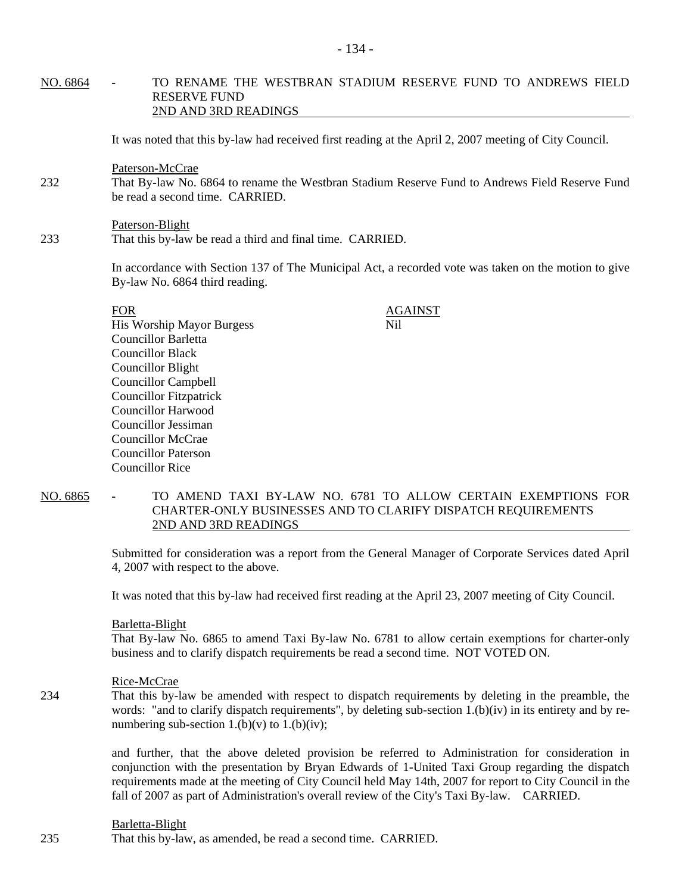## NO. 6864 - TO RENAME THE WESTBRAN STADIUM RESERVE FUND TO ANDREWS FIELD RESERVE FUND 2ND AND 3RD READINGS

It was noted that this by-law had received first reading at the April 2, 2007 meeting of City Council.

Paterson-McCrae

- 232 That By-law No. 6864 to rename the Westbran Stadium Reserve Fund to Andrews Field Reserve Fund be read a second time. CARRIED.
- Paterson-Blight 233 That this by-law be read a third and final time. CARRIED.

In accordance with Section 137 of The Municipal Act, a recorded vote was taken on the motion to give By-law No. 6864 third reading.

| <b>FOR</b>                    | <b>AGAINST</b> |  |
|-------------------------------|----------------|--|
| His Worship Mayor Burgess     | Nil            |  |
| Councillor Barletta           |                |  |
| <b>Councillor Black</b>       |                |  |
| Councillor Blight             |                |  |
| <b>Councillor Campbell</b>    |                |  |
| <b>Councillor Fitzpatrick</b> |                |  |
| Councillor Harwood            |                |  |
| Councillor Jessiman           |                |  |
| Councillor McCrae             |                |  |
| <b>Councillor Paterson</b>    |                |  |
| Councillor Rice               |                |  |

NO. 6865 - TO AMEND TAXI BY-LAW NO. 6781 TO ALLOW CERTAIN EXEMPTIONS FOR CHARTER-ONLY BUSINESSES AND TO CLARIFY DISPATCH REQUIREMENTS 2ND AND 3RD READINGS

> Submitted for consideration was a report from the General Manager of Corporate Services dated April 4, 2007 with respect to the above.

It was noted that this by-law had received first reading at the April 23, 2007 meeting of City Council.

#### Barletta-Blight

That By-law No. 6865 to amend Taxi By-law No. 6781 to allow certain exemptions for charter-only business and to clarify dispatch requirements be read a second time. NOT VOTED ON.

#### Rice-McCrae

234 That this by-law be amended with respect to dispatch requirements by deleting in the preamble, the words: "and to clarify dispatch requirements", by deleting sub-section 1.(b)(iv) in its entirety and by renumbering sub-section 1.(b)(v) to 1.(b)(iv);

> and further, that the above deleted provision be referred to Administration for consideration in conjunction with the presentation by Bryan Edwards of 1-United Taxi Group regarding the dispatch requirements made at the meeting of City Council held May 14th, 2007 for report to City Council in the fall of 2007 as part of Administration's overall review of the City's Taxi By-law. CARRIED.

#### Barletta-Blight

235 That this by-law, as amended, be read a second time. CARRIED.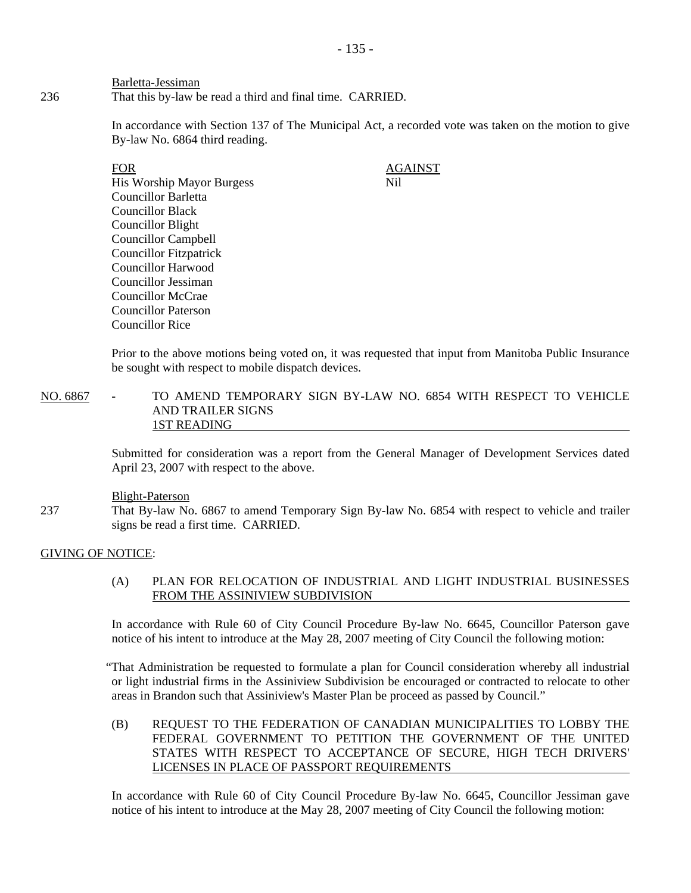Barletta-Jessiman 236 That this by-law be read a third and final time. CARRIED.

> In accordance with Section 137 of The Municipal Act, a recorded vote was taken on the motion to give By-law No. 6864 third reading.

FOR AGAINST His Worship Mayor Burgess Nil Councillor Barletta Councillor Black Councillor Blight Councillor Campbell Councillor Fitzpatrick Councillor Harwood Councillor Jessiman Councillor McCrae Councillor Paterson Councillor Rice

Prior to the above motions being voted on, it was requested that input from Manitoba Public Insurance be sought with respect to mobile dispatch devices.

NO. 6867 - TO AMEND TEMPORARY SIGN BY-LAW NO. 6854 WITH RESPECT TO VEHICLE AND TRAILER SIGNS 1ST READING

> Submitted for consideration was a report from the General Manager of Development Services dated April 23, 2007 with respect to the above.

### Blight-Paterson

237 That By-law No. 6867 to amend Temporary Sign By-law No. 6854 with respect to vehicle and trailer signs be read a first time. CARRIED.

## GIVING OF NOTICE:

## (A) PLAN FOR RELOCATION OF INDUSTRIAL AND LIGHT INDUSTRIAL BUSINESSES FROM THE ASSINIVIEW SUBDIVISION

In accordance with Rule 60 of City Council Procedure By-law No. 6645, Councillor Paterson gave notice of his intent to introduce at the May 28, 2007 meeting of City Council the following motion:

"That Administration be requested to formulate a plan for Council consideration whereby all industrial or light industrial firms in the Assiniview Subdivision be encouraged or contracted to relocate to other areas in Brandon such that Assiniview's Master Plan be proceed as passed by Council."

(B) REQUEST TO THE FEDERATION OF CANADIAN MUNICIPALITIES TO LOBBY THE FEDERAL GOVERNMENT TO PETITION THE GOVERNMENT OF THE UNITED STATES WITH RESPECT TO ACCEPTANCE OF SECURE, HIGH TECH DRIVERS' LICENSES IN PLACE OF PASSPORT REQUIREMENTS

In accordance with Rule 60 of City Council Procedure By-law No. 6645, Councillor Jessiman gave notice of his intent to introduce at the May 28, 2007 meeting of City Council the following motion: